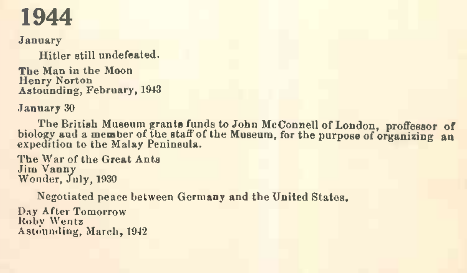January

Hitler still undefeated.

The Man in the Moon Henry Norton Astounding, February, 1943

January 30

The British Museum grants funds to John McConnell of London, proffessor of biology and a member of the staff of the Museum, for the purpose of organizing an expedition to the Malay Peninsula.

The War of the Great Ants Jim Vanny Wonder, July, 1930

Negotiated peace between Germany and the United States.

Day After Tomorrow Roby Wentz Astounding, March, 1942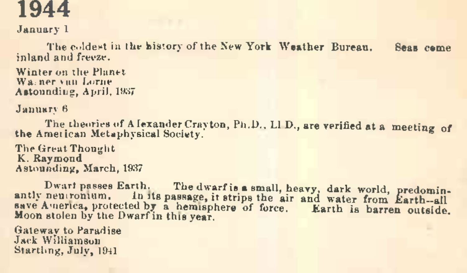January <sup>1</sup>

The coldest in the history of the New York Weather Bureau. Seas came inland and freeze.

Winter on the Planet Warner van Lorne Astounding, April, 1937

January 6

The theories of <sup>A</sup> lexander Crayton, Ph.D.. LI D., are verified at a meeting of the Ametican Metaphysical Society. 6

The Great Thought K. Raymond Astounding, March, 1937

Dwart passes Earth. The dwarfis **a** small, heavy, dark world, predominantly neutronium. In its passage, it strips the air and water from Earth-all save America, protected by a hemisphere of force. Earth is barren outside. Moon stolen by the Dwarfin this year.

Gateway to Paradise Jack Williamson Startling, July, <sup>1941</sup>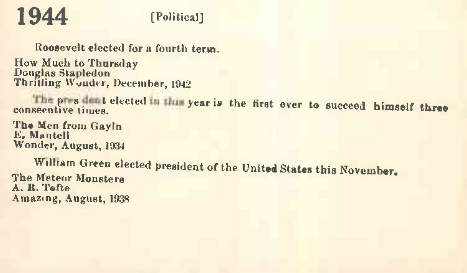#### **1944** [Political]

Roosevelt elected for a fourth term.

How Much to Thursday Douglas Stapledon Thrilling Wonder, December, 1942

The pressure telected in the year is the first ever to succeed himself three

The Men from Gayln E. Mantell Wonder, August, 1934

William Green elected president of the United States this November. The Meteor Monsters A. R. Tofte Amazing, August, 1938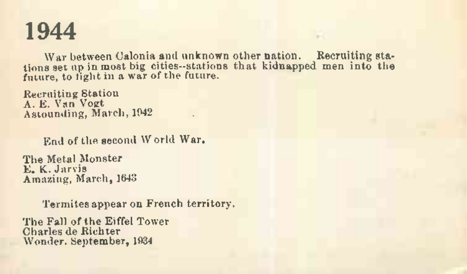War between Calonia and unknown other nation. Recruiting stations set up in most big cities—stations that kidnapped men into the future, to tight in a war of the future.

Recruiting Station A. E. Van Vogt Astounding, March, 1942 .

End of the second W orld War.

The Metal Monster E. K. Jarvis Amazing, March, 1643

Termitesappear on French territory.

The Fall of the Eiffel Tower Charles de Richter Wonder. September, 1934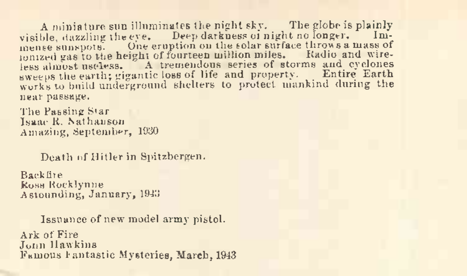A miniature sun illuminates the night sky. The globe is plainly visible, dazzling the eye. Deep darkness of night no longer. Im-<br>mense sunspots. One cruption on the solar surface throws a mass of<br>nonized gas to the height of fourteen million miles. Radio and wire-<br>less almost useless. sweeps the earth; gigantic loss of life and property. Entire Earth works to build underground shelters to protect mankind during the near passage.

The Passing Star Isaac R. hathanson Amazing, September, 1930

Death of Hitler in Spitzbergen.

Backfire Ross Kocklynne Astounding, January, <sup>1943</sup>

Issuance of new model army pistol.

Ark of Fire John Hawkins Famous Fantastic Mysteries, March, 1943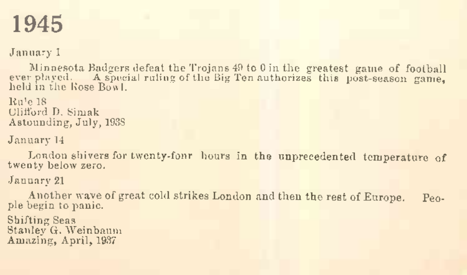January <sup>1</sup>

Minnesota Badgers defeat the Trojans 49 to 0 in the greatest game of football ever played. A special ruling of the Big Ten authorizes this post-season game, held in the Kose Bowl.

Ru'e <sup>18</sup> Clifford D. Simak Astounding, July, 1938

January 14

London shivers for twenty-fonr hours in the unprecedented temperature of twenty below zero.

January <sup>21</sup>

Another wave of great cold strikes London and then the rest of Europe. People begin to panic.

Shifting Seas Stanley G. Weinbaum Amazing, April, 1937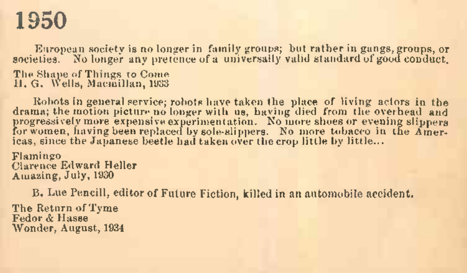European society is no longer in family groups; but rather in gangs, groups, or societies. No longer any pretence of a universally valid standard of good conduct. The Shape of Things to Come 11. G. Wells, Macmillan, 1933

Robots in general service; robots have taken the place of living actors in the drama; the motion picture no longer with us, having died from the overhead and<br>progressively more expensive experimentation. No more shoes or evening slippers<br>for women, having been replaced by sole-slippers. No more tobac icas, since the Japanese beetle had taken over the crop little by little...

Flamingo Clarence Edward Heller Amazing, July, 1930

B. Lue Pencil!, editor of Future Fiction, killed in an automobile accident.

The Return of Tyme Fedor & Hasse Wonder, August, 1934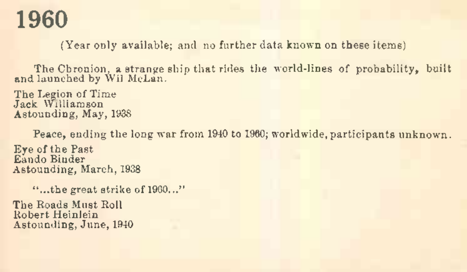(Year only available; and no further data known on these items)

TheCbronion, a strange ship that rides the world-lines of probability, built and launched by Wil McLan.

The Legion of Time Jack Williamson Astounding, May, 1938

Peace, ending the long war from 1940 to 1960; worldwide, participants unknown.

Eye of the Past Eando Binder Astounding, March, 1938

"...the great strike of 1900..."

The Roads Must Roll Robert Heinlein Astounding, June, 1940